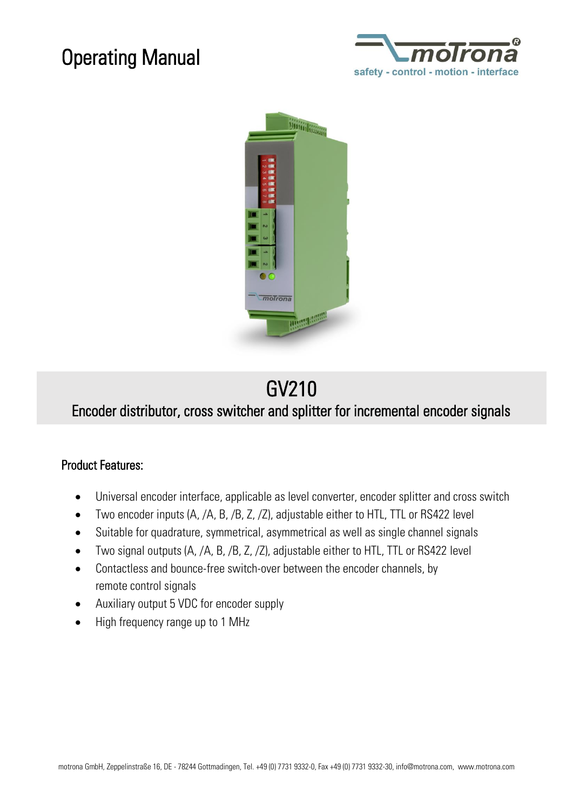# Operating Manual





# GV210

### Encoder distributor, cross switcher and splitter for incremental encoder signals

#### Product Features:

- Universal encoder interface, applicable as level converter, encoder splitter and cross switch
- Two encoder inputs (A, /A, B, /B, Z, /Z), adjustable either to HTL, TTL or RS422 level
- Suitable for quadrature, symmetrical, asymmetrical as well as single channel signals
- Two signal outputs (A, /A, B, /B, Z, /Z), adjustable either to HTL, TTL or RS422 level
- Contactless and bounce-free switch-over between the encoder channels, by remote control signals
- Auxiliary output 5 VDC for encoder supply
- High frequency range up to 1 MHz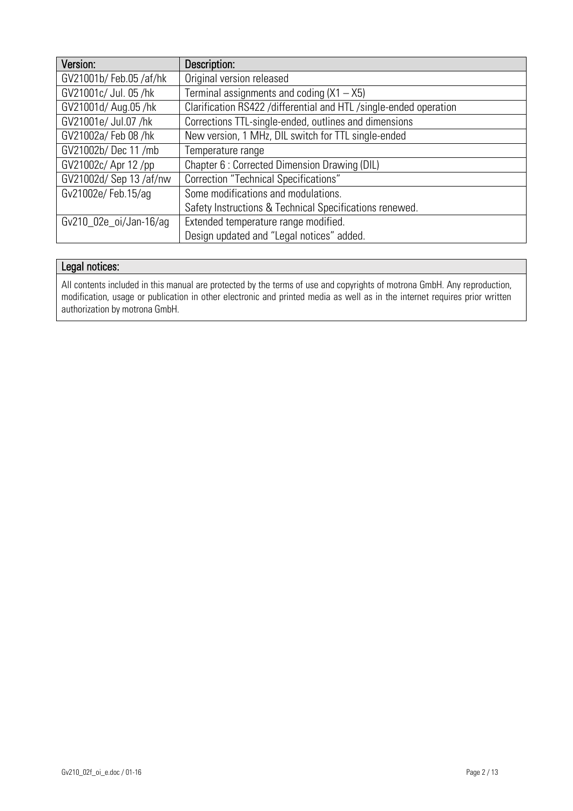| Version:               | Description:                                                        |
|------------------------|---------------------------------------------------------------------|
| GV21001b/Feb.05/af/hk  | Original version released                                           |
| GV21001c/ Jul. 05 /hk  | Terminal assignments and coding $(X1 - X5)$                         |
| GV21001d/ Aug.05 /hk   | Clarification RS422 / differential and HTL / single-ended operation |
| GV21001e/ Jul.07 /hk   | Corrections TTL-single-ended, outlines and dimensions               |
| GV21002a/ Feb 08 /hk   | New version, 1 MHz, DIL switch for TTL single-ended                 |
| GV21002b/ Dec 11 /mb   | Temperature range                                                   |
| GV21002c/ Apr 12 /pp   | Chapter 6 : Corrected Dimension Drawing (DIL)                       |
| GV21002d/ Sep 13/af/nw | <b>Correction "Technical Specifications"</b>                        |
| Gv21002e/Feb.15/ag     | Some modifications and modulations.                                 |
|                        | Safety Instructions & Technical Specifications renewed.             |
| Gv210_02e_oi/Jan-16/ag | Extended temperature range modified.                                |
|                        | Design updated and "Legal notices" added.                           |

#### Legal notices:

All contents included in this manual are protected by the terms of use and copyrights of motrona GmbH. Any reproduction, modification, usage or publication in other electronic and printed media as well as in the internet requires prior written authorization by motrona GmbH.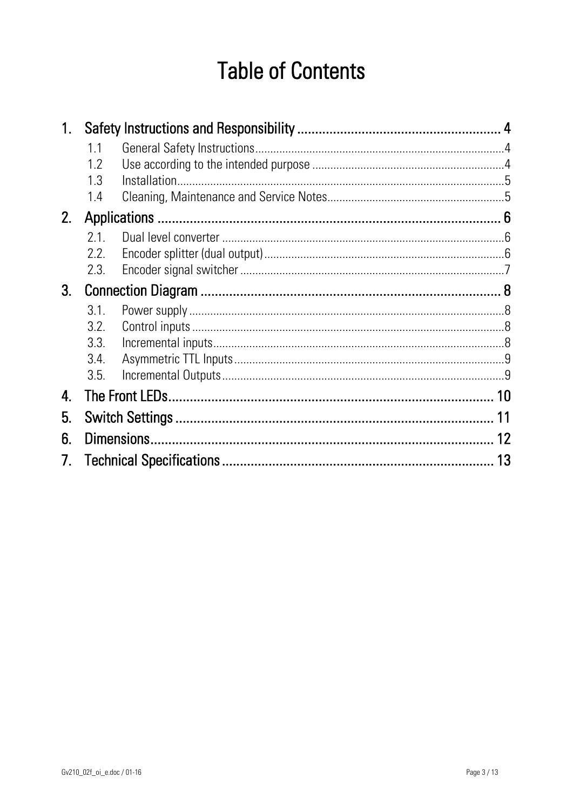# **Table of Contents**

|               | 1.1  |  |  |  |  |  |  |
|---------------|------|--|--|--|--|--|--|
|               | 1.2  |  |  |  |  |  |  |
|               | 1.3  |  |  |  |  |  |  |
|               | 1.4  |  |  |  |  |  |  |
| 2.            |      |  |  |  |  |  |  |
|               | 21   |  |  |  |  |  |  |
|               | 2.2. |  |  |  |  |  |  |
|               | 2.3. |  |  |  |  |  |  |
| 3.            |      |  |  |  |  |  |  |
|               | 3.1. |  |  |  |  |  |  |
|               | 3.2. |  |  |  |  |  |  |
|               | 3.3. |  |  |  |  |  |  |
|               | 3.4. |  |  |  |  |  |  |
|               | 3.5. |  |  |  |  |  |  |
| 4.            | 10   |  |  |  |  |  |  |
| 5.            | 11   |  |  |  |  |  |  |
| 6.            | 12   |  |  |  |  |  |  |
| $\mathcal{L}$ | 13   |  |  |  |  |  |  |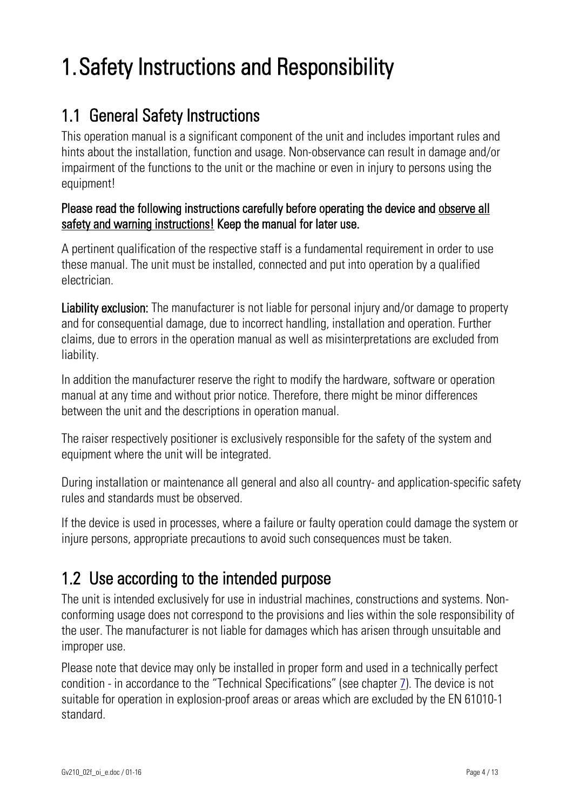# 1.Safety Instructions and Responsibility

### 1.1 General Safety Instructions

This operation manual is a significant component of the unit and includes important rules and hints about the installation, function and usage. Non-observance can result in damage and/or impairment of the functions to the unit or the machine or even in injury to persons using the equipment!

#### Please read the following instructions carefully before operating the device and observe all safety and warning instructions! Keep the manual for later use.

A pertinent qualification of the respective staff is a fundamental requirement in order to use these manual. The unit must be installed, connected and put into operation by a qualified electrician.

Liability exclusion: The manufacturer is not liable for personal injury and/or damage to property and for consequential damage, due to incorrect handling, installation and operation. Further claims, due to errors in the operation manual as well as misinterpretations are excluded from liability.

In addition the manufacturer reserve the right to modify the hardware, software or operation manual at any time and without prior notice. Therefore, there might be minor differences between the unit and the descriptions in operation manual.

The raiser respectively positioner is exclusively responsible for the safety of the system and equipment where the unit will be integrated.

During installation or maintenance all general and also all country- and application-specific safety rules and standards must be observed.

If the device is used in processes, where a failure or faulty operation could damage the system or injure persons, appropriate precautions to avoid such consequences must be taken.

## 1.2 Use according to the intended purpose

The unit is intended exclusively for use in industrial machines, constructions and systems. Nonconforming usage does not correspond to the provisions and lies within the sole responsibility of the user. The manufacturer is not liable for damages which has arisen through unsuitable and improper use.

Please note that device may only be installed in proper form and used in a technically perfect condition - in accordance to the "Technical Specifications" (see chapter [7\)](#page-12-0). The device is not suitable for operation in explosion-proof areas or areas which are excluded by the EN 61010-1 standard.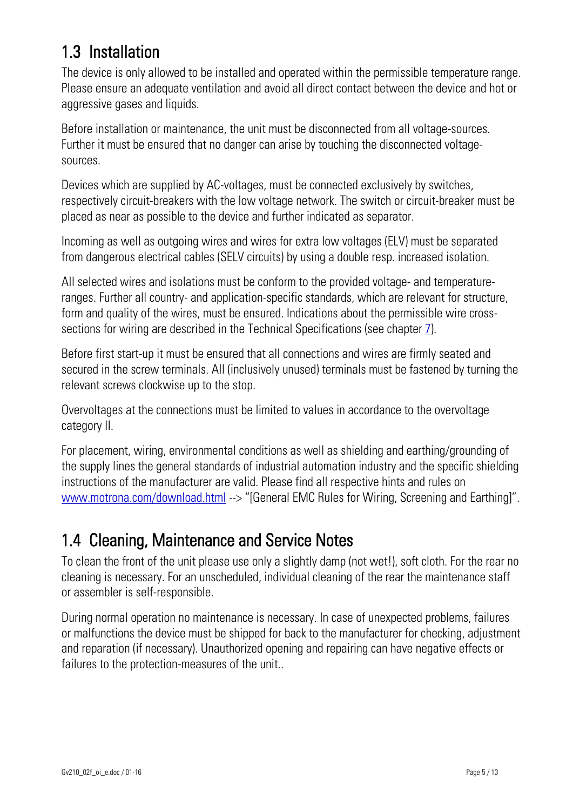## 1.3 Installation

The device is only allowed to be installed and operated within the permissible temperature range. Please ensure an adequate ventilation and avoid all direct contact between the device and hot or aggressive gases and liquids.

Before installation or maintenance, the unit must be disconnected from all voltage-sources. Further it must be ensured that no danger can arise by touching the disconnected voltagesources.

Devices which are supplied by AC-voltages, must be connected exclusively by switches, respectively circuit-breakers with the low voltage network. The switch or circuit-breaker must be placed as near as possible to the device and further indicated as separator.

Incoming as well as outgoing wires and wires for extra low voltages (ELV) must be separated from dangerous electrical cables (SELV circuits) by using a double resp. increased isolation.

All selected wires and isolations must be conform to the provided voltage- and temperatureranges. Further all country- and application-specific standards, which are relevant for structure, form and quality of the wires, must be ensured. Indications about the permissible wire crosssections for wiring are described in the Technical Specifications (see chapter [7\)](#page-12-0).

Before first start-up it must be ensured that all connections and wires are firmly seated and secured in the screw terminals. All (inclusively unused) terminals must be fastened by turning the relevant screws clockwise up to the stop.

Overvoltages at the connections must be limited to values in accordance to the overvoltage category II.

For placement, wiring, environmental conditions as well as shielding and earthing/grounding of the supply lines the general standards of industrial automation industry and the specific shielding instructions of the manufacturer are valid. Please find all respective hints and rules on [www.motrona.com/download.html](http://www.motrona.com/download.html) --> "[General EMC Rules for Wiring, Screening and Earthing]".

## 1.4 Cleaning, Maintenance and Service Notes

To clean the front of the unit please use only a slightly damp (not wet!), soft cloth. For the rear no cleaning is necessary. For an unscheduled, individual cleaning of the rear the maintenance staff or assembler is self-responsible.

During normal operation no maintenance is necessary. In case of unexpected problems, failures or malfunctions the device must be shipped for back to the manufacturer for checking, adjustment and reparation (if necessary). Unauthorized opening and repairing can have negative effects or failures to the protection-measures of the unit..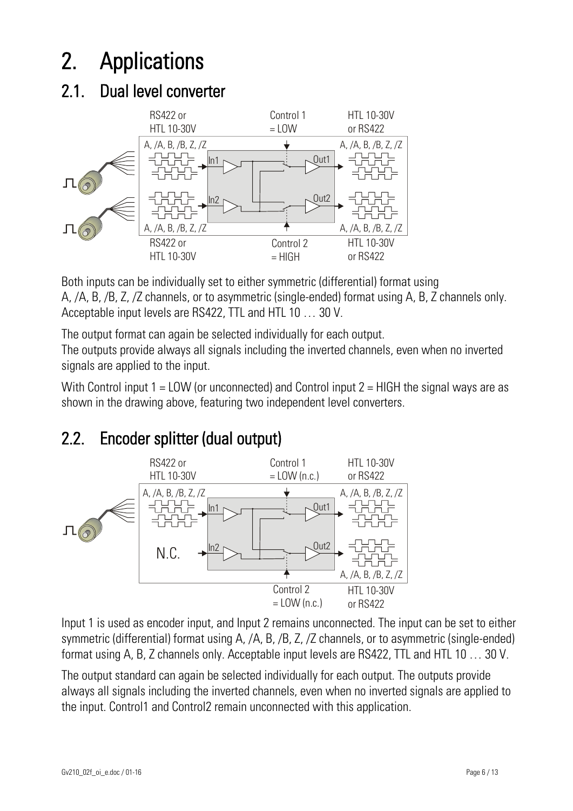# 2. Applications

# 2.1. Dual level converter



Both inputs can be individually set to either symmetric (differential) format using A, /A, B, /B, Z, /Z channels, or to asymmetric (single-ended) format using A, B, Z channels only. Acceptable input levels are RS422, TTL and HTL 10 … 30 V.

The output format can again be selected individually for each output. The outputs provide always all signals including the inverted channels, even when no inverted signals are applied to the input.

With Control input  $1 = LOW$  (or unconnected) and Control input  $2 = HIGH$  the signal ways are as shown in the drawing above, featuring two independent level converters.

# 2.2. Encoder splitter (dual output)



Input 1 is used as encoder input, and Input 2 remains unconnected. The input can be set to either symmetric (differential) format using A, /A, B, /B, Z, /Z channels, or to asymmetric (single-ended) format using A, B, Z channels only. Acceptable input levels are RS422, TTL and HTL 10 … 30 V.

The output standard can again be selected individually for each output. The outputs provide always all signals including the inverted channels, even when no inverted signals are applied to the input. Control1 and Control2 remain unconnected with this application.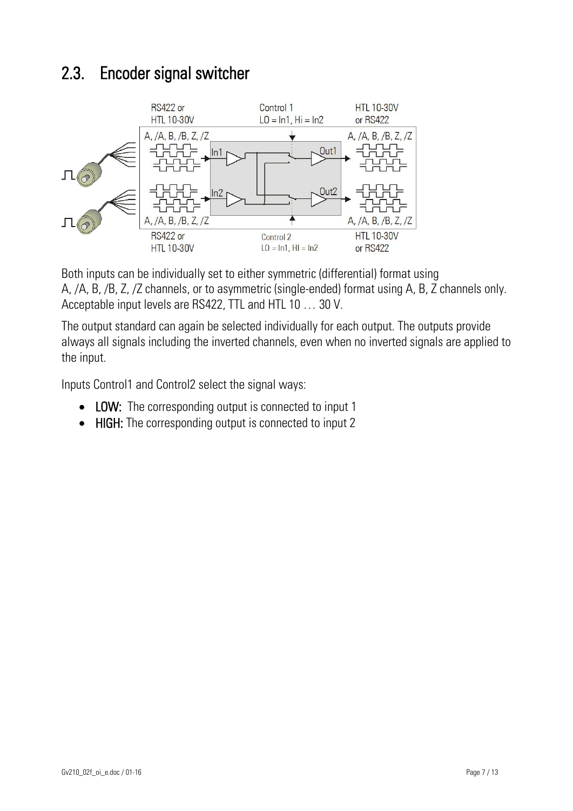### 2.3. Encoder signal switcher



Both inputs can be individually set to either symmetric (differential) format using A, /A, B, /B, Z, /Z channels, or to asymmetric (single-ended) format using A, B, Z channels only. Acceptable input levels are RS422, TTL and HTL 10 … 30 V.

The output standard can again be selected individually for each output. The outputs provide always all signals including the inverted channels, even when no inverted signals are applied to the input.

Inputs Control1 and Control2 select the signal ways:

- LOW: The corresponding output is connected to input 1
- HIGH: The corresponding output is connected to input 2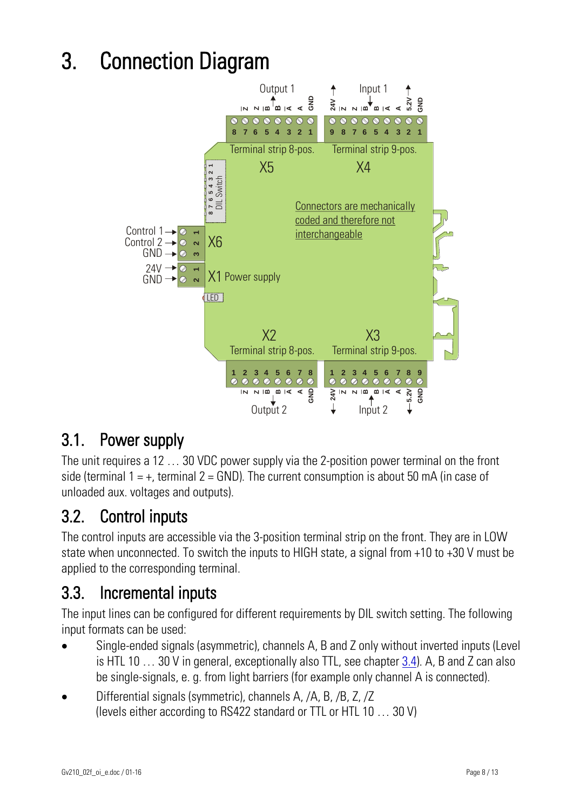# 3. Connection Diagram



### 3.1. Power supply

The unit requires a 12 … 30 VDC power supply via the 2-position power terminal on the front side (terminal  $1 = +$ , terminal  $2 =$  GND). The current consumption is about 50 mA (in case of unloaded aux. voltages and outputs).

### 3.2. Control inputs

The control inputs are accessible via the 3-position terminal strip on the front. They are in LOW state when unconnected. To switch the inputs to HIGH state, a signal from +10 to +30 V must be applied to the corresponding terminal.

### 3.3. Incremental inputs

The input lines can be configured for different requirements by DIL switch setting. The following input formats can be used:

- Single-ended signals (asymmetric), channels A, B and Z only without inverted inputs (Level is HTL 10 … 30 V in general, exceptionally also TTL, see chapter [3.4\)](#page-8-0). A, B and Z can also be single-signals, e. g. from light barriers (for example only channel A is connected).
- Differential signals (symmetric), channels A, /A, B, /B, Z, /Z (levels either according to RS422 standard or TTL or HTL 10 … 30 V)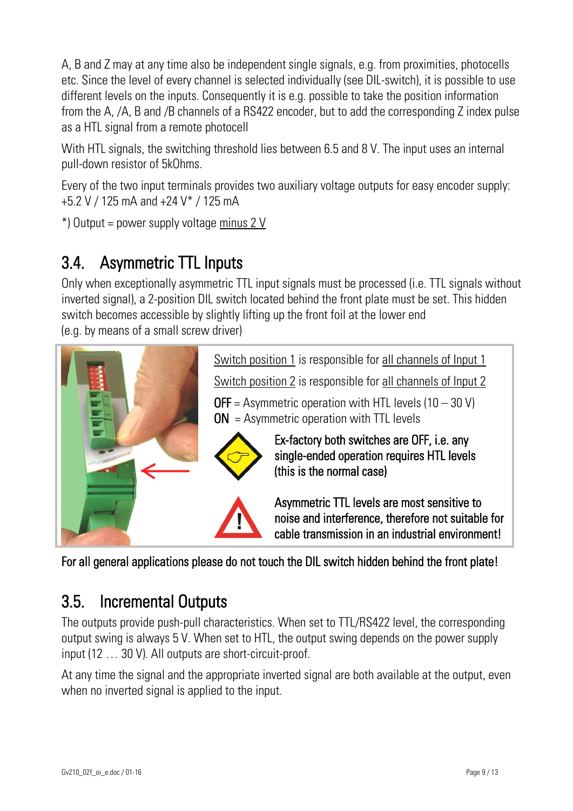A, B and Z may at any time also be independent single signals, e.g. from proximities, photocells etc. Since the level of every channel is selected individually (see DIL-switch), it is possible to use different levels on the inputs. Consequently it is e.g. possible to take the position information from the A, /A, B and /B channels of a RS422 encoder, but to add the corresponding Z index pulse as a HTL signal from a remote photocell

With HTL signals, the switching threshold lies between 6.5 and 8 V. The input uses an internal pull-down resistor of 5kOhms.

Every of the two input terminals provides two auxiliary voltage outputs for easy encoder supply: +5.2 V / 125 mA and +24 V\* / 125 mA

\*) Output = power supply voltage minus 2 V

### <span id="page-8-0"></span>3.4. Asymmetric TTL Inputs

Only when exceptionally asymmetric TTL input signals must be processed (i.e. TTL signals without inverted signal), a 2-position DIL switch located behind the front plate must be set. This hidden switch becomes accessible by slightly lifting up the front foil at the lower end (e.g. by means of a small screw driver)



For all general applications please do not touch the DIL switch hidden behind the front plate!

### 3.5. Incremental Outputs

The outputs provide push-pull characteristics. When set to TTL/RS422 level, the corresponding output swing is always 5 V. When set to HTL, the output swing depends on the power supply input (12 … 30 V). All outputs are short-circuit-proof.

At any time the signal and the appropriate inverted signal are both available at the output, even when no inverted signal is applied to the input.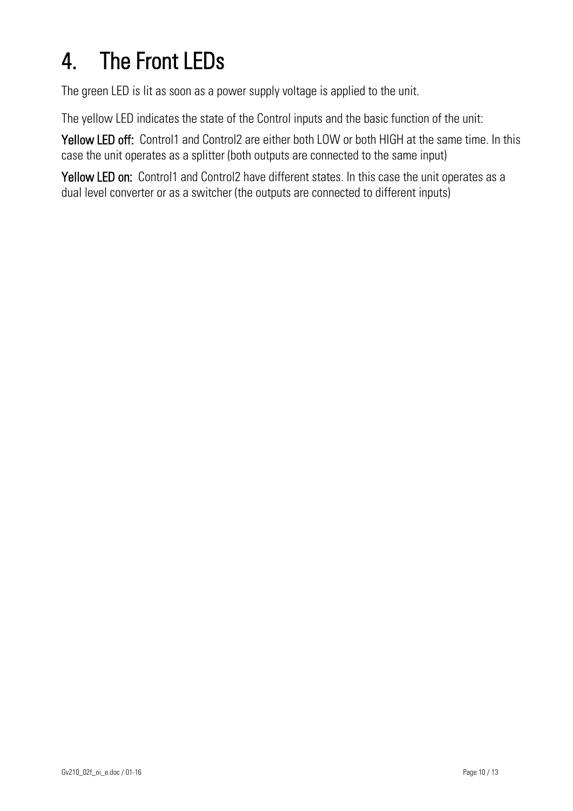# 4. The Front LEDs

The green LED is lit as soon as a power supply voltage is applied to the unit.

The yellow LED indicates the state of the Control inputs and the basic function of the unit:

Yellow LED off: Control1 and Control2 are either both LOW or both HIGH at the same time. In this case the unit operates as a splitter (both outputs are connected to the same input)

Yellow LED on: Control1 and Control2 have different states. In this case the unit operates as a dual level converter or as a switcher (the outputs are connected to different inputs)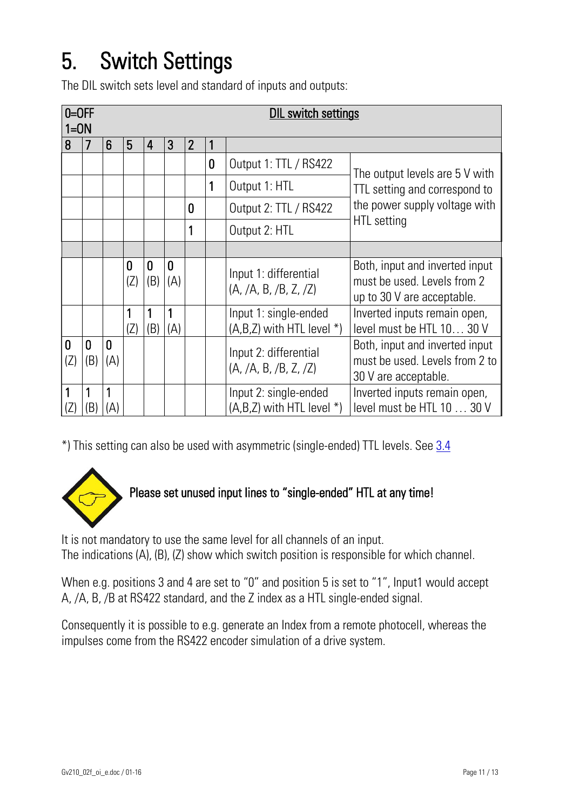# 5. Switch Settings

The DIL switch sets level and standard of inputs and outputs:

|                     | $0=OFF$<br><b>DIL switch settings</b><br>$1=ON$ |          |          |          |                       |                |   |                                                        |                                                                                             |  |
|---------------------|-------------------------------------------------|----------|----------|----------|-----------------------|----------------|---|--------------------------------------------------------|---------------------------------------------------------------------------------------------|--|
| 8                   | 7                                               | 6        | 5        | 4        | 3                     | $\overline{2}$ |   |                                                        |                                                                                             |  |
|                     |                                                 |          |          |          |                       |                | 0 | Output 1: TTL / RS422                                  | The output levels are 5 V with                                                              |  |
|                     |                                                 |          |          |          |                       |                | 1 | Output 1: HTL                                          | TTL setting and correspond to<br>the power supply voltage with                              |  |
|                     |                                                 |          |          |          |                       | 0              |   | Output 2: TTL / RS422                                  |                                                                                             |  |
|                     |                                                 |          |          |          |                       | 1              |   | Output 2: HTL                                          | HTL setting                                                                                 |  |
|                     |                                                 |          |          |          |                       |                |   |                                                        |                                                                                             |  |
|                     |                                                 |          | 0<br>(Z) | 0<br>(B) | $\overline{0}$<br>(A) |                |   | Input 1: differential<br>(A, /A, B, /B, Z, /Z)         | Both, input and inverted input<br>must be used. Levels from 2<br>up to 30 V are acceptable. |  |
|                     |                                                 |          | (Z)      | (B)      | 1<br>(A)              |                |   | Input 1: single-ended<br>$(A,B,Z)$ with HTL level $*)$ | Inverted inputs remain open,<br>level must be HTL 10 30 V                                   |  |
| $\mathbf{0}$<br>(Z) | 0<br>(B)                                        | 0<br>(A) |          |          |                       |                |   | Input 2: differential<br>(A, /A, B, /B, Z, /Z)         | Both, input and inverted input<br>must be used. Levels from 2 to<br>30 V are acceptable.    |  |
| 1<br>(Z)            | (B)                                             | (A)      |          |          |                       |                |   | Input 2: single-ended<br>$(A,B,Z)$ with HTL level $*)$ | Inverted inputs remain open,<br>level must be HTL 10 30 V                                   |  |

\*) This setting can also be used with asymmetric (single-ended) TTL levels. See [3.4](#page-8-0)



### Please set unused input lines to "single-ended" HTL at any time!

It is not mandatory to use the same level for all channels of an input. The indications (A), (B), (Z) show which switch position is responsible for which channel.

When e.g. positions 3 and 4 are set to "0" and position 5 is set to "1", Input1 would accept A, /A, B, /B at RS422 standard, and the Z index as a HTL single-ended signal.

Consequently it is possible to e.g. generate an Index from a remote photocell, whereas the impulses come from the RS422 encoder simulation of a drive system.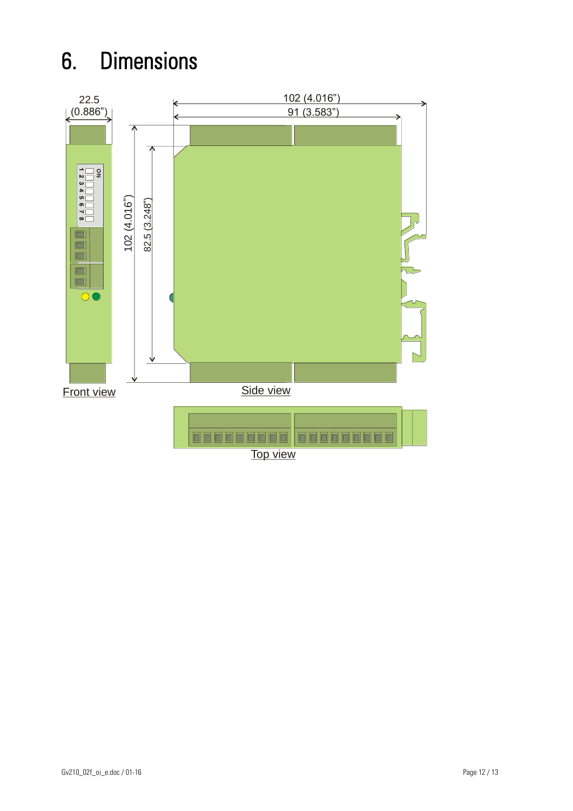# 6. Dimensions



Top view